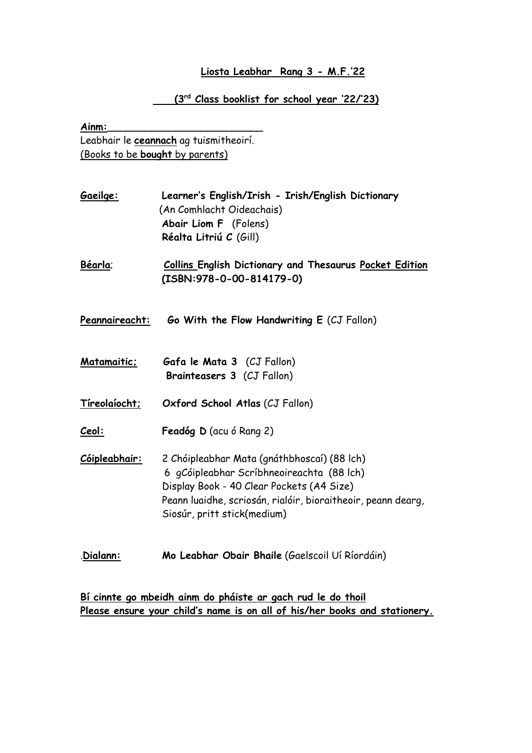## **Liosta Leabhar Rang 3 - M.F.'22**

## **(3rd Class booklist for school year '22/'23)**

**Ainm:\_\_\_\_\_\_\_\_\_\_\_\_\_\_\_\_\_\_\_\_\_\_\_\_\_** Leabhair le **ceannach** ag tuismitheoirí. (Books to be **bought** by parents)

| <u>Gaeilge:</u> | Learner's English/Irish - Irish/English Dictionary |
|-----------------|----------------------------------------------------|
|                 | (An Comhlacht Oideachais)                          |
|                 | <b>Abair Liom F</b> (Folens)                       |
|                 | Réalta Litriú C (Gill)                             |
|                 |                                                    |

**Béarla**; **Collins English Dictionary and Thesaurus Pocket Edition (ISBN:978-0-00-814179-0)**

- **Peannaireacht: Go With the Flow Handwriting E** (CJ Fallon)
- **Matamaitic; Gafa le Mata 3** (CJ Fallon)  **Brainteasers 3** (CJ Fallon)
- **Tíreolaíocht; Oxford School Atlas** (CJ Fallon)
- **Ceol: Feadóg D** (acu ó Rang 2)
- **Cóipleabhair:** 2 Chóipleabhar Mata (gnáthbhoscaí) (88 lch) 6 gCóipleabhar Scríbhneoireachta (88 lch) Display Book - 40 Clear Pockets (A4 Size) Peann luaidhe, scriosán, rialóir, bioraitheoir, peann dearg, Siosúr, pritt stick(medium)
- .**Dialann: Mo Leabhar Obair Bhaile** (Gaelscoil Uí Ríordáin)

**Bí cinnte go mbeidh ainm do pháiste ar gach rud le do thoil Please ensure your child's name is on all of his/her books and stationery.**